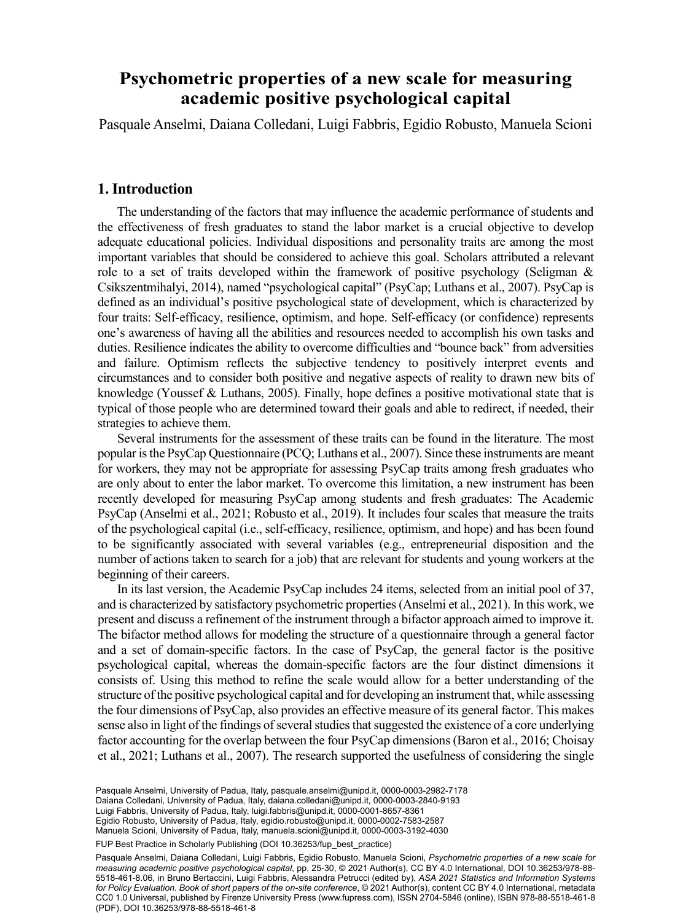# Psychometric properties of a new scale for measuring tivo psychol <sup>a</sup> FISPPA Department, University of Padua, Padua, Italy. **academic positive psychological capital**

Pasquale Anselmi, Daiana Colledani, Luigi Fabbris, Egidio Robusto, Manuela Scioni

## **1. Introduction**

The understanding of the factors that may influence the academic performance of students and the effectiveness of fresh graduates to stand the labor market is a crucial objective to develop adequate educational policies. Individual dispositions and personality traits are among the most important variables that should be considered to achieve this goal. Scholars attributed a relevant role to a set of traits developed within the framework of positive psychology (Seligman  $\&$ Csikszentmihalyi, 2014), named "psychological capital" (PsyCap; Luthans et al., 2007). PsyCap is defined as an individual's positive psychological state of development, which is characterized by four traits: Self-efficacy, resilience, optimism, and hope. Self-efficacy (or confidence) represents one's awareness of having all the abilities and resources needed to accomplish his own tasks and duties. Resilience indicates the ability to overcome difficulties and "bounce back" from adversities and failure. Optimism reflects the subjective tendency to positively interpret events and circumstances and to consider both positive and negative aspects of reality to drawn new bits of knowledge (Youssef & Luthans, 2005). Finally, hope defines a positive motivational state that is typical of those people who are determined toward their goals and able to redirect, if needed, their strategies to achieve them.

Several instruments for the assessment of these traits can be found in the literature. The most popular is the PsyCap Questionnaire (PCQ; Luthans et al., 2007). Since these instruments are meant for workers, they may not be appropriate for assessing PsyCap traits among fresh graduates who are only about to enter the labor market. To overcome this limitation, a new instrument has been recently developed for measuring PsyCap among students and fresh graduates: The Academic PsyCap (Anselmi et al., 2021; Robusto et al., 2019). It includes four scales that measure the traits of the psychological capital (i.e., self-efficacy, resilience, optimism, and hope) and has been found to be significantly associated with several variables (e.g., entrepreneurial disposition and the number of actions taken to search for a job) that are relevant for students and young workers at the beginning of their careers.

In its last version, the Academic PsyCap includes 24 items, selected from an initial pool of 37, and is characterized by satisfactory psychometric properties (Anselmi et al., 2021). In this work, we present and discuss a refinement of the instrument through a bifactor approach aimed to improve it. The bifactor method allows for modeling the structure of a questionnaire through a general factor and a set of domain-specific factors. In the case of PsyCap, the general factor is the positive psychological capital, whereas the domain-specific factors are the four distinct dimensions it consists of. Using this method to refine the scale would allow for a better understanding of the structure of the positive psychological capital and for developing an instrument that, while assessing the four dimensions of PsyCap, also provides an effective measure of its general factor. This makes sense also in light of the findings of several studies that suggested the existence of a core underlying factor accounting for the overlap between the four PsyCap dimensions (Baron et al., 2016; Choisay et al., 2021; Luthans et al., 2007). The research supported the usefulness of considering the single

Luigi Fabbris, University of Padua, Italy, [luigi.fabbris@unipd.it](mailto:luigi.fabbris@unipd.it), [0000-0001-8657-8361](https://orcid.org/0000-0001-8657-8361) Pasquale Anselmi, University of Padua, Italy, [pasquale.anselmi@unipd.it](mailto:pasquale.anselmi@unipd.it), [0000-0003-2982-7178](https://orcid.org/0000-0003-2982-7178) Daiana Colledani, University of Padua, Italy, [daiana.colledani@unipd.it,](mailto:daiana.colledani@unipd.it) [0000-0003-2840-9193](https://orcid.org/0000-0003-2840-9193) Egidio Robusto, University of Padua, Italy, [egidio.robusto@unipd.it](mailto:egidio.robusto@unipd.it), [0000-0002-7583-2587](https://orcid.org/0000-0002-7583-2587) Manuela Scioni, University of Padua, Italy, [manuela.scioni@unipd.it](mailto:manuela.scioni@unipd.it), [0000-0003-3192-4030](https://orcid.org/0000-0003-3192-4030)

FUP Best Practice in Scholarly Publishing (DOI [10.36253/fup\\_best\\_practice](https://doi.org/10.36253/fup_best_practice))

Pasquale Anselmi, Daiana Colledani, Luigi Fabbris, Egidio Robusto, Manuela Scioni, *Psychometric properties of a new scale for measuring academic positive psychological capital*, pp. 25-30, © 2021 Author(s), [CC BY 4.0 International](http://creativecommons.org/licenses/by/4.0/legalcode), DOI [10.36253/978-88-](https://doi.org/10.36253/978-88-5518-461-8.06) [5518-461-8.06](https://doi.org/10.36253/978-88-5518-461-8.06), in Bruno Bertaccini, Luigi Fabbris, Alessandra Petrucci (edited by), *ASA 2021 Statistics and Information Systems for Policy Evaluation. Book of short papers of the on-site conference*, © 2021 Author(s), content [CC BY 4.0 International](http://creativecommons.org/licenses/by/4.0/legalcode), metadata [CC0 1.0 Universal,](https://creativecommons.org/publicdomain/zero/1.0/legalcode) published by Firenze University Press ([www.fupress.com\)](http://www.fupress.com), ISSN 2704-5846 (online), ISBN 978-88-5518-461-8 (PDF), DOI [10.36253/978-88-5518-461-8](https://doi.org/10.36253/978-88-5518-461-8)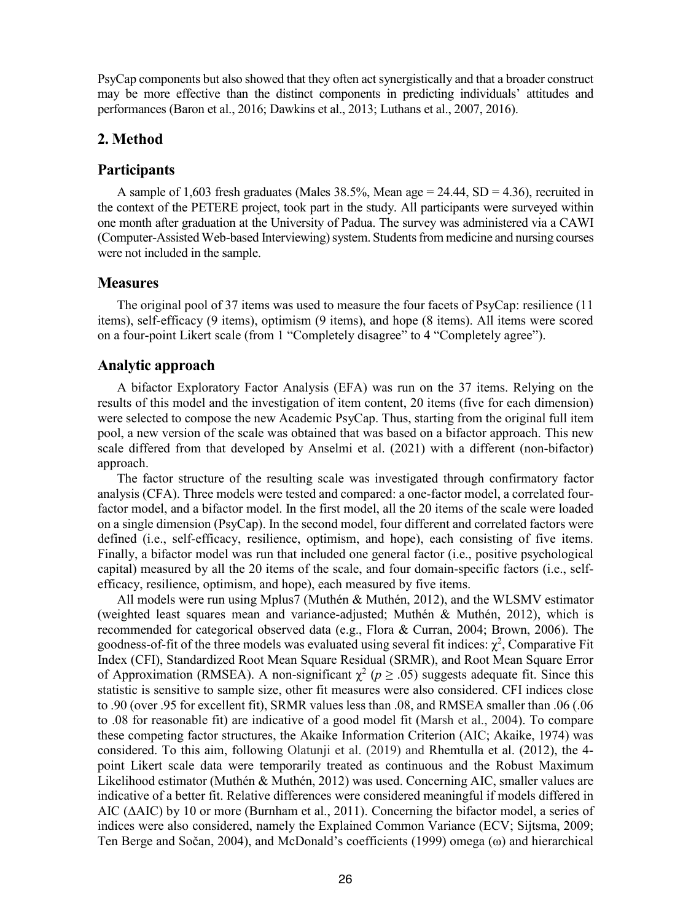PsyCap components but also showed that they often act synergistically and that a broader construct may be more effective than the distinct components in predicting individuals' attitudes and performances (Baron et al., 2016; Dawkins et al., 2013; Luthans et al., 2007, 2016).

### **2. Method**

#### **Participants**

A sample of 1,603 fresh graduates (Males 38.5%, Mean age =  $24.44$ , SD = 4.36), recruited in the context of the PETERE project, took part in the study. All participants were surveyed within one month after graduation at the University of Padua. The survey was administered via a CAWI (Computer-Assisted Web-based Interviewing) system. Students from medicine and nursing courses were not included in the sample.

#### **Measures**

The original pool of 37 items was used to measure the four facets of PsyCap: resilience (11 items), self-efficacy (9 items), optimism (9 items), and hope (8 items). All items were scored on a four-point Likert scale (from 1 "Completely disagree" to 4 "Completely agree").

#### **Analytic approach**

A bifactor Exploratory Factor Analysis (EFA) was run on the 37 items. Relying on the results of this model and the investigation of item content, 20 items (five for each dimension) were selected to compose the new Academic PsyCap. Thus, starting from the original full item pool, a new version of the scale was obtained that was based on a bifactor approach. This new scale differed from that developed by Anselmi et al. (2021) with a different (non-bifactor) approach.

The factor structure of the resulting scale was investigated through confirmatory factor analysis (CFA). Three models were tested and compared: a one-factor model, a correlated fourfactor model, and a bifactor model. In the first model, all the 20 items of the scale were loaded on a single dimension (PsyCap). In the second model, four different and correlated factors were defined (i.e., self-efficacy, resilience, optimism, and hope), each consisting of five items. Finally, a bifactor model was run that included one general factor (i.e., positive psychological capital) measured by all the 20 items of the scale, and four domain-specific factors (i.e., selfefficacy, resilience, optimism, and hope), each measured by five items.

All models were run using Mplus7 (Muthén & Muthén, 2012), and the WLSMV estimator (weighted least squares mean and variance-adjusted; Muthén & Muthén, 2012), which is recommended for categorical observed data (e.g., Flora & Curran, 2004; Brown, 2006). The goodness-of-fit of the three models was evaluated using several fit indices:  $\chi^2$ , Comparative Fit Index (CFI), Standardized Root Mean Square Residual (SRMR), and Root Mean Square Error of Approximation (RMSEA). A non-significant  $\chi^2$  ( $p \ge .05$ ) suggests adequate fit. Since this statistic is sensitive to sample size, other fit measures were also considered. CFI indices close to .90 (over .95 for excellent fit), SRMR values less than .08, and RMSEA smaller than .06 (.06 to .08 for reasonable fit) are indicative of a good model fit (Marsh et al., 2004). To compare these competing factor structures, the Akaike Information Criterion (AIC; Akaike, 1974) was considered. To this aim, following Olatunji et al. (2019) and Rhemtulla et al. (2012), the 4 point Likert scale data were temporarily treated as continuous and the Robust Maximum Likelihood estimator (Muthén & Muthén, 2012) was used. Concerning AIC, smaller values are indicative of a better fit. Relative differences were considered meaningful if models differed in AIC (∆AIC) by 10 or more (Burnham et al., 2011). Concerning the bifactor model, a series of indices were also considered, namely the Explained Common Variance (ECV; Sijtsma, 2009; Ten Berge and Sočan, 2004), and McDonald's coefficients (1999) omega (ω) and hierarchical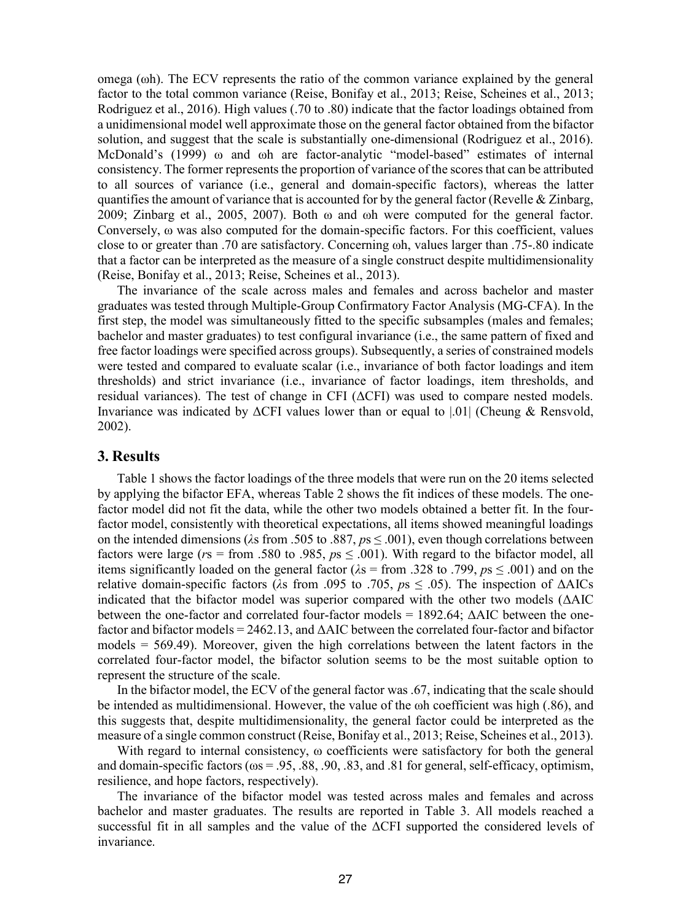omega (ωh). The ECV represents the ratio of the common variance explained by the general factor to the total common variance (Reise, Bonifay et al., 2013; Reise, Scheines et al., 2013; Rodriguez et al., 2016). High values (.70 to .80) indicate that the factor loadings obtained from a unidimensional model well approximate those on the general factor obtained from the bifactor solution, and suggest that the scale is substantially one-dimensional (Rodriguez et al., 2016). McDonald's (1999) ω and ωh are factor-analytic "model-based" estimates of internal consistency. The former represents the proportion of variance of the scores that can be attributed to all sources of variance (i.e., general and domain-specific factors), whereas the latter quantifies the amount of variance that is accounted for by the general factor (Revelle  $&$  Zinbarg, 2009; Zinbarg et al., 2005, 2007). Both  $\omega$  and  $\omega$ h were computed for the general factor. Conversely, ω was also computed for the domain-specific factors. For this coefficient, values close to or greater than .70 are satisfactory. Concerning ωh, values larger than .75-.80 indicate that a factor can be interpreted as the measure of a single construct despite multidimensionality (Reise, Bonifay et al., 2013; Reise, Scheines et al., 2013).

The invariance of the scale across males and females and across bachelor and master graduates was tested through Multiple-Group Confirmatory Factor Analysis (MG-CFA). In the first step, the model was simultaneously fitted to the specific subsamples (males and females; bachelor and master graduates) to test configural invariance (i.e., the same pattern of fixed and free factor loadings were specified across groups). Subsequently, a series of constrained models were tested and compared to evaluate scalar (i.e., invariance of both factor loadings and item thresholds) and strict invariance (i.e., invariance of factor loadings, item thresholds, and residual variances). The test of change in CFI (ΔCFI) was used to compare nested models. Invariance was indicated by ΔCFI values lower than or equal to |.01| (Cheung & Rensvold, 2002).

### **3. Results**

Table 1 shows the factor loadings of the three models that were run on the 20 items selected by applying the bifactor EFA, whereas Table 2 shows the fit indices of these models. The onefactor model did not fit the data, while the other two models obtained a better fit. In the fourfactor model, consistently with theoretical expectations, all items showed meaningful loadings on the intended dimensions (*λ*s from .505 to .887, *p*s ≤ .001), even though correlations between factors were large ( $r$ s = from .580 to .985,  $p$ s  $\leq$  .001). With regard to the bifactor model, all items significantly loaded on the general factor ( $\lambda$ s = from .328 to .799,  $p_s \le 0.001$ ) and on the relative domain-specific factors (*λ*s from .095 to .705, *p*s ≤ .05). The inspection of ΔAICs indicated that the bifactor model was superior compared with the other two models (ΔAIC between the one-factor and correlated four-factor models =  $1892.64$ ;  $\triangle$ AIC between the onefactor and bifactor models = 2462.13, and ΔAIC between the correlated four-factor and bifactor models = 569.49). Moreover, given the high correlations between the latent factors in the correlated four-factor model, the bifactor solution seems to be the most suitable option to represent the structure of the scale.

In the bifactor model, the ECV of the general factor was .67, indicating that the scale should be intended as multidimensional. However, the value of the ωh coefficient was high (.86), and this suggests that, despite multidimensionality, the general factor could be interpreted as the measure of a single common construct (Reise, Bonifay et al., 2013; Reise, Scheines et al., 2013).

With regard to internal consistency, ω coefficients were satisfactory for both the general and domain-specific factors (ωs = .95, .88, .90, .83, and .81 for general, self-efficacy, optimism, resilience, and hope factors, respectively).

The invariance of the bifactor model was tested across males and females and across bachelor and master graduates. The results are reported in Table 3. All models reached a successful fit in all samples and the value of the ΔCFI supported the considered levels of invariance.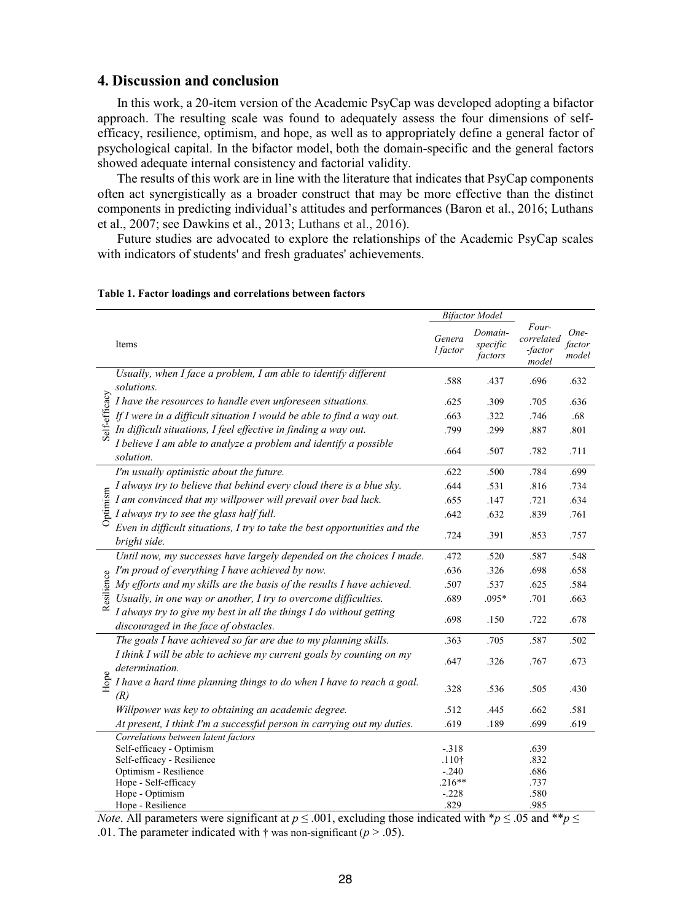### **4. Discussion and conclusion**

In this work, a 20-item version of the Academic PsyCap was developed adopting a bifactor approach. The resulting scale was found to adequately assess the four dimensions of selfefficacy, resilience, optimism, and hope, as well as to appropriately define a general factor of psychological capital. In the bifactor model, both the domain-specific and the general factors showed adequate internal consistency and factorial validity.

The results of this work are in line with the literature that indicates that PsyCap components often act synergistically as a broader construct that may be more effective than the distinct components in predicting individual's attitudes and performances (Baron et al., 2016; Luthans et al., 2007; see Dawkins et al., 2013; Luthans et al., 2016).

Future studies are advocated to explore the relationships of the Academic PsyCap scales with indicators of students' and fresh graduates' achievements.

|               |                                                                                                                                                                   |                                                                | <b>Bifactor Model</b>          |                                         |                         |
|---------------|-------------------------------------------------------------------------------------------------------------------------------------------------------------------|----------------------------------------------------------------|--------------------------------|-----------------------------------------|-------------------------|
|               | Items                                                                                                                                                             | Genera<br>l factor                                             | Domain-<br>specific<br>factors | Four-<br>correlated<br>-factor<br>model | One-<br>factor<br>model |
|               | Usually, when I face a problem, I am able to identify different<br>solutions.                                                                                     | .588                                                           | .437                           | .696                                    | .632                    |
| Self-efficacy | I have the resources to handle even unforeseen situations.                                                                                                        | .625                                                           | .309                           | .705                                    | .636                    |
|               | If I were in a difficult situation I would be able to find a way out.                                                                                             | .663                                                           | .322                           | .746                                    | .68                     |
|               | In difficult situations, I feel effective in finding a way out.                                                                                                   | .799                                                           | .299                           | .887                                    | .801                    |
|               | I believe I am able to analyze a problem and identify a possible<br>solution.                                                                                     | .664                                                           | .507                           | .782                                    | .711                    |
| Optimism      | I'm usually optimistic about the future.                                                                                                                          | .622                                                           | .500                           | .784                                    | .699                    |
|               | I always try to believe that behind every cloud there is a blue sky.                                                                                              | .644                                                           | .531                           | .816                                    | .734                    |
|               | I am convinced that my willpower will prevail over bad luck.                                                                                                      | .655                                                           | .147                           | .721                                    | .634                    |
|               | I always try to see the glass half full.                                                                                                                          | .642                                                           | .632                           | .839                                    | .761                    |
|               | Even in difficult situations, I try to take the best opportunities and the<br>bright side.                                                                        | .724                                                           | .391                           | .853                                    | .757                    |
| Resilience    | Until now, my successes have largely depended on the choices I made.                                                                                              | .472                                                           | .520                           | .587                                    | .548                    |
|               | I'm proud of everything I have achieved by now.                                                                                                                   | .636                                                           | .326                           | .698                                    | .658                    |
|               | My efforts and my skills are the basis of the results I have achieved.                                                                                            | .507                                                           | .537                           | .625                                    | .584                    |
|               | Usually, in one way or another, I try to overcome difficulties.                                                                                                   | .689                                                           | .095*                          | .701                                    | .663                    |
|               | I always try to give my best in all the things I do without getting<br>discouraged in the face of obstacles.                                                      | .698                                                           | .150                           | .722                                    | .678                    |
| Hope          | The goals I have achieved so far are due to my planning skills.                                                                                                   | .363                                                           | .705                           | .587                                    | .502                    |
|               | I think I will be able to achieve my current goals by counting on my<br>determination.                                                                            | .647                                                           | .326                           | .767                                    | .673                    |
|               | I have a hard time planning things to do when I have to reach a goal.<br>(R)                                                                                      | .328                                                           | .536                           | .505                                    | .430                    |
|               | Willpower was key to obtaining an academic degree.                                                                                                                | .512                                                           | .445                           | .662                                    | .581                    |
|               | At present, I think I'm a successful person in carrying out my duties.                                                                                            | .619                                                           | .189                           | .699                                    | .619                    |
|               | Correlations between latent factors<br>Self-efficacy - Optimism<br>Self-efficacy - Resilience<br>Optimism - Resilience<br>Hope - Self-efficacy<br>Hope - Optimism | $-.318$<br>.110 <sup>†</sup><br>$-.240$<br>$.216**$<br>$-.228$ |                                | .639<br>.832<br>.686<br>.737<br>.580    |                         |
|               | Hope - Resilience                                                                                                                                                 | .829                                                           |                                | .985                                    |                         |

#### **Table 1. Factor loadings and correlations between factors**

*Note*. All parameters were significant at  $p \le 0.001$ , excluding those indicated with  $\frac{k}{p} \le 0.05$  and  $\frac{k}{p} \le 0$ .01. The parameter indicated with  $\dagger$  was non-significant ( $p > .05$ ).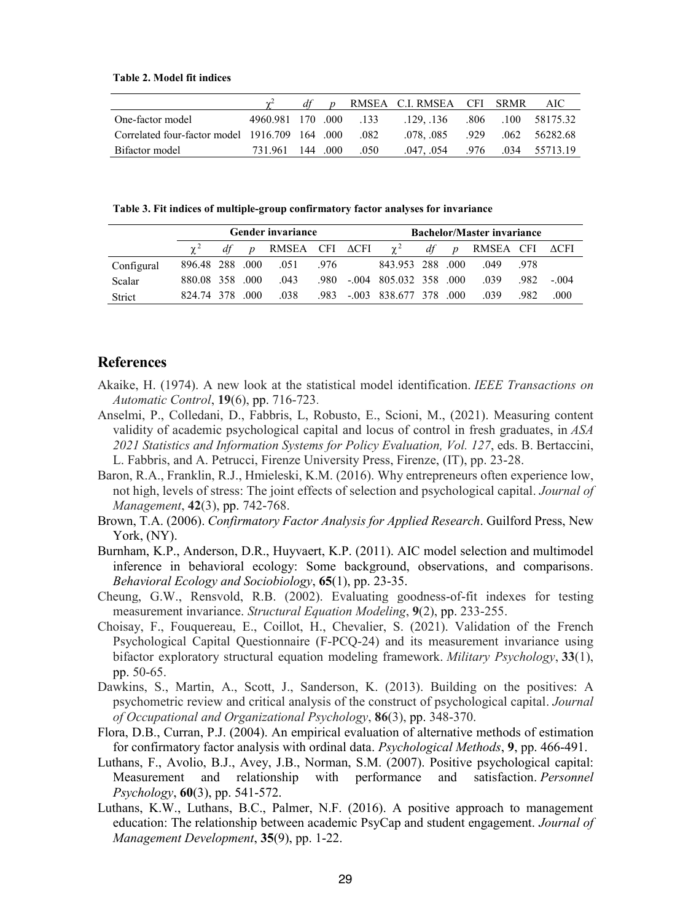**Table 2. Model fit indices**

|                                                    |                        | $df$ p |      | RMSEA C.I. RMSEA CFI SRMR     |  | - AIC -            |
|----------------------------------------------------|------------------------|--------|------|-------------------------------|--|--------------------|
| One-factor model                                   | 4960.981 170 .000 .133 |        |      | .129136                       |  | .806 .100 58175.32 |
| 000 082. Correlated four-factor model 1916.709 164 |                        |        |      | .078, 085 .929 .062 56282.68  |  |                    |
| Bifactor model                                     | 731.961 144 .000       |        | .050 | .047, .054 .976 .034 55713.19 |  |                    |

**Table 3. Fit indices of multiple-group confirmatory factor analyses for invariance** 

|            |                 | <b>Gender invariance</b> | <b>Bachelor/Master invariance</b> |      |                          |    |                  |                |      |        |
|------------|-----------------|--------------------------|-----------------------------------|------|--------------------------|----|------------------|----------------|------|--------|
|            |                 | $\boldsymbol{D}$         | RMSEA CFI ACFI                    |      | $\gamma^2$               | df | $\boldsymbol{p}$ | RMSEA CFI ACFI |      |        |
| Configural | 896.48 288 .000 |                          | .051                              | .976 | 843.953 288 .000         |    |                  | 049            | -978 |        |
| Scalar     | 880.08 358 000  |                          | .043                              | .980 | $-.004$ 805.032 358 .000 |    |                  | -039           | 982. | $-004$ |
| Strict     | 824 74 378      | 000                      | .038                              | .983 | $-.003$ 838.677 378 .000 |    |                  | -039           | .982 | .000   |

#### **References**

- Akaike, H. (1974). A new look at the statistical model identification. *IEEE Transactions on Automatic Control*, **19**(6), pp. 716-723.
- Anselmi, P., Colledani, D., Fabbris, L, Robusto, E., Scioni, M., (2021). Measuring content validity of academic psychological capital and locus of control in fresh graduates, in *ASA 2021 Statistics and Information Systems for Policy Evaluation, Vol. 127*, eds. B. Bertaccini, L. Fabbris, and A. Petrucci, Firenze University Press, Firenze, (IT), pp. 23-28.
- Baron, R.A., Franklin, R.J., Hmieleski, K.M. (2016). Why entrepreneurs often experience low, not high, levels of stress: The joint effects of selection and psychological capital. *Journal of Management*, **42**(3), pp. 742-768.
- Brown, T.A. (2006). *Confirmatory Factor Analysis for Applied Research*. Guilford Press, New York, (NY).
- Burnham, K.P., Anderson, D.R., Huyvaert, K.P. (2011). AIC model selection and multimodel inference in behavioral ecology: Some background, observations, and comparisons. *Behavioral Ecology and Sociobiology*, **65**(1), pp. 23-35.
- Cheung, G.W., Rensvold, R.B. (2002). Evaluating goodness-of-fit indexes for testing measurement invariance. *Structural Equation Modeling*, **9**(2), pp. 233-255.
- Choisay, F., Fouquereau, E., Coillot, H., Chevalier, S. (2021). Validation of the French Psychological Capital Questionnaire (F-PCQ-24) and its measurement invariance using bifactor exploratory structural equation modeling framework. *Military Psychology*, **33**(1), pp. 50-65.
- Dawkins, S., Martin, A., Scott, J., Sanderson, K. (2013). Building on the positives: A psychometric review and critical analysis of the construct of psychological capital. *Journal of Occupational and Organizational Psychology*, **86**(3), pp. 348-370.
- Flora, D.B., Curran, P.J. (2004). An empirical evaluation of alternative methods of estimation for confirmatory factor analysis with ordinal data. *Psychological Methods*, **9**, pp. 466-491.
- Luthans, F., Avolio, B.J., Avey, J.B., Norman, S.M. (2007). Positive psychological capital: Measurement and relationship with performance and satisfaction. *Personnel Psychology*, **60**(3), pp. 541-572.
- Luthans, K.W., Luthans, B.C., Palmer, N.F. (2016). A positive approach to management education: The relationship between academic PsyCap and student engagement. *Journal of Management Development*, **35**(9), pp. 1-22.